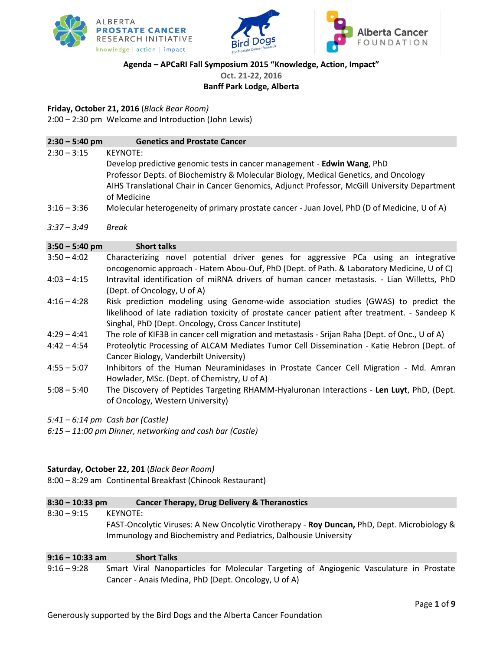





## **Agenda – APCaRI Fall Symposium 2015 "Knowledge, Action, Impact"**

**Oct. 21-22, 2016**

## **Banff Park Lodge, Alberta**

## **Friday, October 21, 2016** (*Black Bear Room)*

2:00 – 2:30 pm Welcome and Introduction (John Lewis)

## **2:30 – 5:40 pm Genetics and Prostate Cancer** 2:30 – 3:15 KEYNOTE: Develop predictive genomic tests in cancer management - **Edwin Wang**, PhD Professor Depts. of Biochemistry & Molecular Biology, Medical Genetics, and Oncology AIHS Translational Chair in Cancer Genomics, Adjunct Professor, McGill University Department of Medicine 3:16 – 3:36 Molecular heterogeneity of primary prostate cancer - Juan Jovel, PhD (D of Medicine, U of A) *3:37 – 3:49 Break* **3:50 – 5:40 pm Short talks**

- 3:50 4:02 Characterizing novel potential driver genes for aggressive PCa using an integrative oncogenomic approach - Hatem Abou-Ouf, PhD (Dept. of Path. & Laboratory Medicine, U of C) 4:03 – 4:15 Intravital identification of miRNA drivers of human cancer metastasis. - Lian Willetts, PhD (Dept. of Oncology, U of A)
- 4:16 4:28 Risk prediction modeling using Genome-wide association studies (GWAS) to predict the likelihood of late radiation toxicity of prostate cancer patient after treatment. - Sandeep K Singhal, PhD (Dept. Oncology, Cross Cancer Institute)
- 4:29 4:41 The role of KIF3B in cancer cell migration and metastasis Srijan Raha (Dept. of Onc., U of A)
- 4:42 4:54 Proteolytic Processing of ALCAM Mediates Tumor Cell Dissemination Katie Hebron (Dept. of Cancer Biology, Vanderbilt University)
- 4:55 5:07 Inhibitors of the Human Neuraminidases in Prostate Cancer Cell Migration Md. Amran Howlader, MSc. (Dept. of Chemistry, U of A)
- 5:08 5:40 The Discovery of Peptides Targeting RHAMM-Hyaluronan Interactions **Len Luyt**, PhD, (Dept. of Oncology, Western University)
- *5:41 – 6:14 pm Cash bar (Castle)*
- *6:15 – 11:00 pm Dinner, networking and cash bar (Castle)*

## **Saturday, October 22, 201** (*Black Bear Room)*

8:00 – 8:29 am Continental Breakfast (Chinook Restaurant)

## **8:30 – 10:33 pm Cancer Therapy, Drug Delivery & Theranostics**

8:30 – 9:15 KEYNOTE: FAST-Oncolytic Viruses: A New Oncolytic Virotherapy - **Roy Duncan,** PhD, Dept. Microbiology & Immunology and Biochemistry and Pediatrics, Dalhousie University

**9:16 – 10:33 am Short Talks** 9:16 – 9:28 Smart Viral Nanoparticles for Molecular Targeting of Angiogenic Vasculature in Prostate Cancer - Anais Medina, PhD (Dept. Oncology, U of A)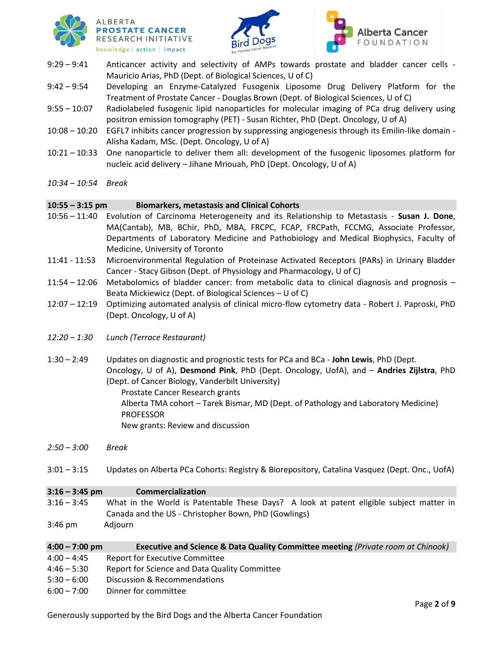





9:29 – 9:41 Anticancer activity and selectivity of AMPs towards prostate and bladder cancer cells - Mauricio Arias, PhD (Dept. of Biological Sciences, U of C)

9:42 – 9:54 Developing an Enzyme-Catalyzed Fusogenix Liposome Drug Delivery Platform for the Treatment of Prostate Cancer - Douglas Brown (Dept. of Biological Sciences, U of C)

- 9:55 10:07 Radiolabeled fusogenic lipid nanoparticles for molecular imaging of PCa drug delivery using positron emission tomography (PET) - Susan Richter, PhD (Dept. Oncology, U of A)
- 10:08 10:20 EGFL7 inhibits cancer progression by suppressing angiogenesis through its Emilin-like domain Alisha Kadam, MSc. (Dept. Oncology, U of A)
- 10:21 10:33 One nanoparticle to deliver them all: development of the fusogenic liposomes platform for nucleic acid delivery – Jihane Mriouah, PhD (Dept. Oncology, U of A)
- *10:34 – 10:54 Break*

### **10:55 – 3:15 pm Biomarkers, metastasis and Clinical Cohorts**

- 10:56 11:40 Evolution of Carcinoma Heterogeneity and its Relationship to Metastasis **Susan J. Done**, MA(Cantab), MB, BChir, PhD, MBA, FRCPC, FCAP, FRCPath, FCCMG, Associate Professor, Departments of Laboratory Medicine and Pathobiology and Medical Biophysics, Faculty of Medicine, University of Toronto
- 11:41 11:53 Microenvironmental Regulation of Proteinase Activated Receptors (PARs) in Urinary Bladder Cancer - Stacy Gibson (Dept. of Physiology and Pharmacology, U of C)
- 11:54 12:06 Metabolomics of bladder cancer: from metabolic data to clinical diagnosis and prognosis Beata Mickiewicz (Dept. of Biological Sciences – U of C)
- 12:07 12:19 Optimizing automated analysis of clinical micro-flow cytometry data Robert J. Paproski, PhD (Dept. Oncology, U of A)
- *12:20 – 1:30 Lunch (Terrace Restaurant)*
- 1:30 2:49 Updates on diagnostic and prognostic tests for PCa and BCa **John Lewis**, PhD (Dept. Oncology, U of A), **Desmond Pink**, PhD (Dept. Oncology, UofA), and – **Andries Zijlstra**, PhD (Dept. of Cancer Biology, Vanderbilt University)

Prostate Cancer Research grants Alberta TMA cohort – Tarek Bismar, MD (Dept. of Pathology and Laboratory Medicine) PROFESSOR New grants: Review and discussion

- *2:50 – 3:00 Break*
- 3:01 3:15 Updates on Alberta PCa Cohorts: Registry & Biorepository, Catalina Vasquez (Dept. Onc., UofA)

## **3:16 – 3:45 pm Commercialization** 3:16 – 3:45 What in the World is Patentable These Days? A look at patent eligible subject matter in Canada and the US - Christopher Bown, PhD (Gowlings) 3:46 pm Adjourn

| $4:00 - 7:00$ pm | <b>Executive and Science &amp; Data Quality Committee meeting (Private room at Chinook)</b> |
|------------------|---------------------------------------------------------------------------------------------|
| $4:00 - 4:45$    | Report for Executive Committee                                                              |
| $4:46 - 5:30$    | Report for Science and Data Quality Committee                                               |
| $5:30 - 6:00$    | Discussion & Recommendations                                                                |
| $6:00 - 7:00$    | Dinner for committee                                                                        |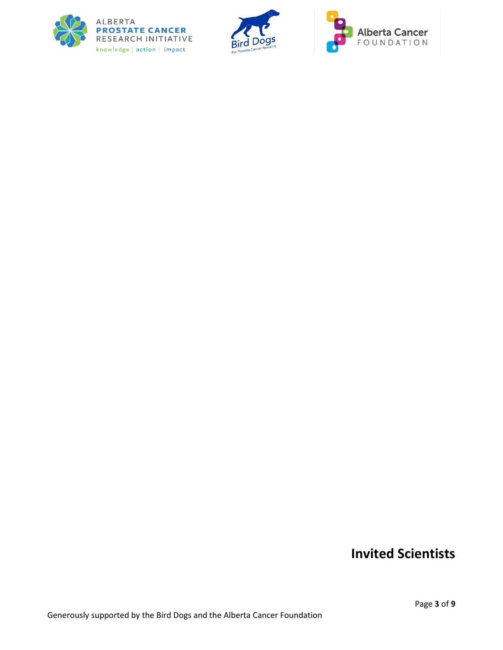





# **Invited Scientists**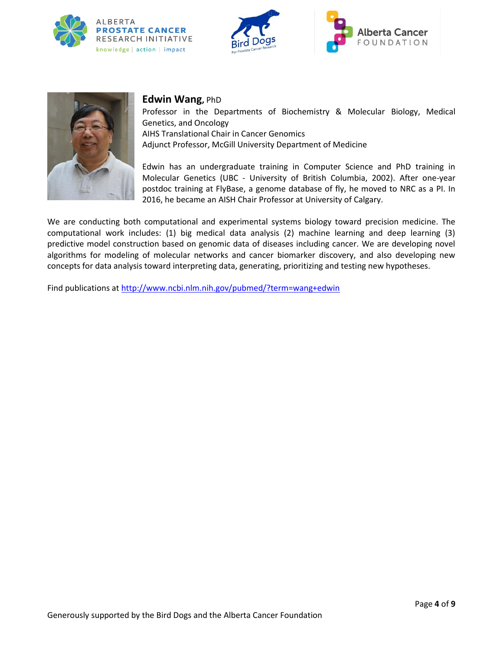







## **Edwin Wang,** PhD

Professor in the Departments of Biochemistry & Molecular Biology, Medical Genetics, and Oncology AIHS Translational Chair in Cancer Genomics Adjunct Professor, McGill University Department of Medicine

Edwin has an undergraduate training in Computer Science and PhD training in Molecular Genetics (UBC - University of British Columbia, 2002). After one-year postdoc training at FlyBase, a genome database of fly, he moved to NRC as a PI. In 2016, he became an AISH Chair Professor at University of Calgary.

We are conducting both computational and experimental systems biology toward precision medicine. The computational work includes: (1) big medical data analysis (2) machine learning and deep learning (3) predictive model construction based on genomic data of diseases including cancer. We are developing novel algorithms for modeling of molecular networks and cancer biomarker discovery, and also developing new concepts for data analysis toward interpreting data, generating, prioritizing and testing new hypotheses.

Find publications a[t http://www.ncbi.nlm.nih.gov/pubmed/?term=wang+edwin](http://www.ncbi.nlm.nih.gov/pubmed/?term=wang+edwin)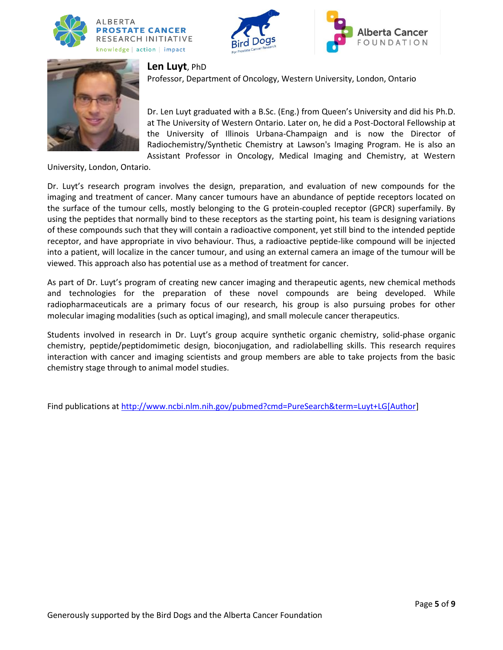







## **Len Luyt**, PhD

Professor, Department of Oncology, Western University, London, Ontario

Dr. Len Luyt graduated with a B.Sc. (Eng.) from Queen's University and did his Ph.D. at The University of Western Ontario. Later on, he did a Post-Doctoral Fellowship at the University of Illinois Urbana-Champaign and is now the Director of Radiochemistry/Synthetic Chemistry at Lawson's Imaging Program. He is also an Assistant Professor in Oncology, Medical Imaging and Chemistry, at Western

University, London, Ontario.

Dr. Luyt's research program involves the design, preparation, and evaluation of new compounds for the imaging and treatment of cancer. Many cancer tumours have an abundance of peptide receptors located on the surface of the tumour cells, mostly belonging to the G protein-coupled receptor (GPCR) superfamily. By using the peptides that normally bind to these receptors as the starting point, his team is designing variations of these compounds such that they will contain a radioactive component, yet still bind to the intended peptide receptor, and have appropriate in vivo behaviour. Thus, a radioactive peptide-like compound will be injected into a patient, will localize in the cancer tumour, and using an external camera an image of the tumour will be viewed. This approach also has potential use as a method of treatment for cancer.

As part of Dr. Luyt's program of creating new cancer imaging and therapeutic agents, new chemical methods and technologies for the preparation of these novel compounds are being developed. While radiopharmaceuticals are a primary focus of our research, his group is also pursuing probes for other molecular imaging modalities (such as optical imaging), and small molecule cancer therapeutics.

Students involved in research in Dr. Luyt's group acquire synthetic organic chemistry, solid-phase organic chemistry, peptide/peptidomimetic design, bioconjugation, and radiolabelling skills. This research requires interaction with cancer and imaging scientists and group members are able to take projects from the basic chemistry stage through to animal model studies.

Find publications a[t http://www.ncbi.nlm.nih.gov/pubmed?cmd=PureSearch&term=Luyt+LG\[Author\]](http://www.ncbi.nlm.nih.gov/pubmed?cmd=PureSearch&term=Luyt+LG%5bAuthor)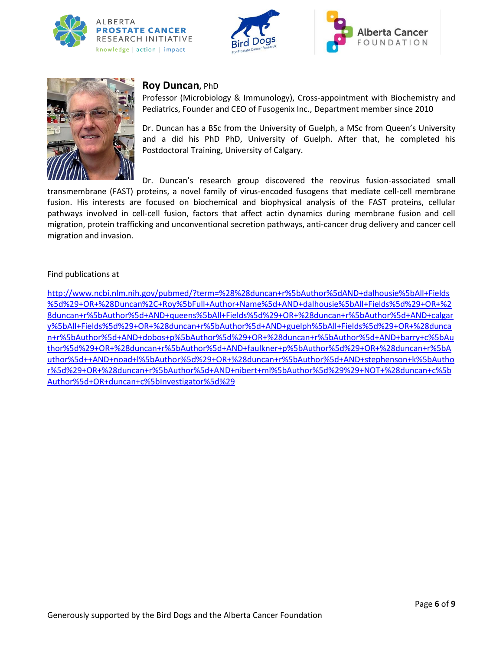





## **Roy Duncan,** PhD

Professor (Microbiology & Immunology), Cross-appointment with Biochemistry and Pediatrics, Founder and CEO of Fusogenix Inc., Department member since 2010

Dr. Duncan has a BSc from the University of Guelph, a MSc from Queen's University and a did his PhD PhD, University of Guelph. After that, he completed his Postdoctoral Training, University of Calgary.

Dr. Duncan's research group discovered the reovirus fusion-associated small transmembrane (FAST) proteins, a novel family of virus-encoded fusogens that mediate cell-cell membrane fusion. His interests are focused on biochemical and biophysical analysis of the FAST proteins, cellular pathways involved in cell-cell fusion, factors that affect actin dynamics during membrane fusion and cell migration, protein trafficking and unconventional secretion pathways, anti-cancer drug delivery and cancer cell migration and invasion.

### Find publications at

[http://www.ncbi.nlm.nih.gov/pubmed/?term=%28%28duncan+r%5bAuthor%5dAND+dalhousie%5bAll+Fields](http://www.ncbi.nlm.nih.gov/pubmed/?term=%28%28duncan+r%5bAuthor%5dAND+dalhousie%5bAll+Fields%5d%29+OR+%28Duncan%2C+Roy%5bFull+Author+Name%5d+AND+dalhousie%5bAll+Fields%5d%29+OR+%28duncan+r%5bAuthor%5d+AND+queens%5bAll+Fields%5d%29+OR+%28duncan+r%5bAuthor%5d+AND+calgary%5bAll+Fields%5d%29+OR+%28duncan+r%5bAuthor%5d+AND+guelph%5bAll+Fields%5d%29+OR+%28duncan+r%5bAuthor%5d+AND+dobos+p%5bAuthor%5d%29+OR+%28duncan+r%5bAuthor%5d+AND+barry+c%5bAuthor%5d%29+OR+%28duncan+r%5bAuthor%5d+AND+faulkner+p%5bAuthor%5d%29+OR+%28duncan+r%5bAuthor%5d++AND+noad+l%5bAuthor%5d%29+OR+%28duncan+r%5bAuthor%5d+AND+stephenson+k%5bAuthor%5d%29+OR+%28duncan+r%5bAuthor%5d+AND+nibert+ml%5bAuthor%5d%29%29+NOT+%28duncan+c%5bAuthor%5d+OR+duncan+c%5bInvestigator%5d%29) [%5d%29+OR+%28Duncan%2C+Roy%5bFull+Author+Name%5d+AND+dalhousie%5bAll+Fields%5d%29+OR+%2](http://www.ncbi.nlm.nih.gov/pubmed/?term=%28%28duncan+r%5bAuthor%5dAND+dalhousie%5bAll+Fields%5d%29+OR+%28Duncan%2C+Roy%5bFull+Author+Name%5d+AND+dalhousie%5bAll+Fields%5d%29+OR+%28duncan+r%5bAuthor%5d+AND+queens%5bAll+Fields%5d%29+OR+%28duncan+r%5bAuthor%5d+AND+calgary%5bAll+Fields%5d%29+OR+%28duncan+r%5bAuthor%5d+AND+guelph%5bAll+Fields%5d%29+OR+%28duncan+r%5bAuthor%5d+AND+dobos+p%5bAuthor%5d%29+OR+%28duncan+r%5bAuthor%5d+AND+barry+c%5bAuthor%5d%29+OR+%28duncan+r%5bAuthor%5d+AND+faulkner+p%5bAuthor%5d%29+OR+%28duncan+r%5bAuthor%5d++AND+noad+l%5bAuthor%5d%29+OR+%28duncan+r%5bAuthor%5d+AND+stephenson+k%5bAuthor%5d%29+OR+%28duncan+r%5bAuthor%5d+AND+nibert+ml%5bAuthor%5d%29%29+NOT+%28duncan+c%5bAuthor%5d+OR+duncan+c%5bInvestigator%5d%29) [8duncan+r%5bAuthor%5d+AND+queens%5bAll+Fields%5d%29+OR+%28duncan+r%5bAuthor%5d+AND+calgar](http://www.ncbi.nlm.nih.gov/pubmed/?term=%28%28duncan+r%5bAuthor%5dAND+dalhousie%5bAll+Fields%5d%29+OR+%28Duncan%2C+Roy%5bFull+Author+Name%5d+AND+dalhousie%5bAll+Fields%5d%29+OR+%28duncan+r%5bAuthor%5d+AND+queens%5bAll+Fields%5d%29+OR+%28duncan+r%5bAuthor%5d+AND+calgary%5bAll+Fields%5d%29+OR+%28duncan+r%5bAuthor%5d+AND+guelph%5bAll+Fields%5d%29+OR+%28duncan+r%5bAuthor%5d+AND+dobos+p%5bAuthor%5d%29+OR+%28duncan+r%5bAuthor%5d+AND+barry+c%5bAuthor%5d%29+OR+%28duncan+r%5bAuthor%5d+AND+faulkner+p%5bAuthor%5d%29+OR+%28duncan+r%5bAuthor%5d++AND+noad+l%5bAuthor%5d%29+OR+%28duncan+r%5bAuthor%5d+AND+stephenson+k%5bAuthor%5d%29+OR+%28duncan+r%5bAuthor%5d+AND+nibert+ml%5bAuthor%5d%29%29+NOT+%28duncan+c%5bAuthor%5d+OR+duncan+c%5bInvestigator%5d%29) [y%5bAll+Fields%5d%29+OR+%28duncan+r%5bAuthor%5d+AND+guelph%5bAll+Fields%5d%29+OR+%28dunca](http://www.ncbi.nlm.nih.gov/pubmed/?term=%28%28duncan+r%5bAuthor%5dAND+dalhousie%5bAll+Fields%5d%29+OR+%28Duncan%2C+Roy%5bFull+Author+Name%5d+AND+dalhousie%5bAll+Fields%5d%29+OR+%28duncan+r%5bAuthor%5d+AND+queens%5bAll+Fields%5d%29+OR+%28duncan+r%5bAuthor%5d+AND+calgary%5bAll+Fields%5d%29+OR+%28duncan+r%5bAuthor%5d+AND+guelph%5bAll+Fields%5d%29+OR+%28duncan+r%5bAuthor%5d+AND+dobos+p%5bAuthor%5d%29+OR+%28duncan+r%5bAuthor%5d+AND+barry+c%5bAuthor%5d%29+OR+%28duncan+r%5bAuthor%5d+AND+faulkner+p%5bAuthor%5d%29+OR+%28duncan+r%5bAuthor%5d++AND+noad+l%5bAuthor%5d%29+OR+%28duncan+r%5bAuthor%5d+AND+stephenson+k%5bAuthor%5d%29+OR+%28duncan+r%5bAuthor%5d+AND+nibert+ml%5bAuthor%5d%29%29+NOT+%28duncan+c%5bAuthor%5d+OR+duncan+c%5bInvestigator%5d%29) [n+r%5bAuthor%5d+AND+dobos+p%5bAuthor%5d%29+OR+%28duncan+r%5bAuthor%5d+AND+barry+c%5bAu](http://www.ncbi.nlm.nih.gov/pubmed/?term=%28%28duncan+r%5bAuthor%5dAND+dalhousie%5bAll+Fields%5d%29+OR+%28Duncan%2C+Roy%5bFull+Author+Name%5d+AND+dalhousie%5bAll+Fields%5d%29+OR+%28duncan+r%5bAuthor%5d+AND+queens%5bAll+Fields%5d%29+OR+%28duncan+r%5bAuthor%5d+AND+calgary%5bAll+Fields%5d%29+OR+%28duncan+r%5bAuthor%5d+AND+guelph%5bAll+Fields%5d%29+OR+%28duncan+r%5bAuthor%5d+AND+dobos+p%5bAuthor%5d%29+OR+%28duncan+r%5bAuthor%5d+AND+barry+c%5bAuthor%5d%29+OR+%28duncan+r%5bAuthor%5d+AND+faulkner+p%5bAuthor%5d%29+OR+%28duncan+r%5bAuthor%5d++AND+noad+l%5bAuthor%5d%29+OR+%28duncan+r%5bAuthor%5d+AND+stephenson+k%5bAuthor%5d%29+OR+%28duncan+r%5bAuthor%5d+AND+nibert+ml%5bAuthor%5d%29%29+NOT+%28duncan+c%5bAuthor%5d+OR+duncan+c%5bInvestigator%5d%29) [thor%5d%29+OR+%28duncan+r%5bAuthor%5d+AND+faulkner+p%5bAuthor%5d%29+OR+%28duncan+r%5bA](http://www.ncbi.nlm.nih.gov/pubmed/?term=%28%28duncan+r%5bAuthor%5dAND+dalhousie%5bAll+Fields%5d%29+OR+%28Duncan%2C+Roy%5bFull+Author+Name%5d+AND+dalhousie%5bAll+Fields%5d%29+OR+%28duncan+r%5bAuthor%5d+AND+queens%5bAll+Fields%5d%29+OR+%28duncan+r%5bAuthor%5d+AND+calgary%5bAll+Fields%5d%29+OR+%28duncan+r%5bAuthor%5d+AND+guelph%5bAll+Fields%5d%29+OR+%28duncan+r%5bAuthor%5d+AND+dobos+p%5bAuthor%5d%29+OR+%28duncan+r%5bAuthor%5d+AND+barry+c%5bAuthor%5d%29+OR+%28duncan+r%5bAuthor%5d+AND+faulkner+p%5bAuthor%5d%29+OR+%28duncan+r%5bAuthor%5d++AND+noad+l%5bAuthor%5d%29+OR+%28duncan+r%5bAuthor%5d+AND+stephenson+k%5bAuthor%5d%29+OR+%28duncan+r%5bAuthor%5d+AND+nibert+ml%5bAuthor%5d%29%29+NOT+%28duncan+c%5bAuthor%5d+OR+duncan+c%5bInvestigator%5d%29) [uthor%5d++AND+noad+l%5bAuthor%5d%29+OR+%28duncan+r%5bAuthor%5d+AND+stephenson+k%5bAutho](http://www.ncbi.nlm.nih.gov/pubmed/?term=%28%28duncan+r%5bAuthor%5dAND+dalhousie%5bAll+Fields%5d%29+OR+%28Duncan%2C+Roy%5bFull+Author+Name%5d+AND+dalhousie%5bAll+Fields%5d%29+OR+%28duncan+r%5bAuthor%5d+AND+queens%5bAll+Fields%5d%29+OR+%28duncan+r%5bAuthor%5d+AND+calgary%5bAll+Fields%5d%29+OR+%28duncan+r%5bAuthor%5d+AND+guelph%5bAll+Fields%5d%29+OR+%28duncan+r%5bAuthor%5d+AND+dobos+p%5bAuthor%5d%29+OR+%28duncan+r%5bAuthor%5d+AND+barry+c%5bAuthor%5d%29+OR+%28duncan+r%5bAuthor%5d+AND+faulkner+p%5bAuthor%5d%29+OR+%28duncan+r%5bAuthor%5d++AND+noad+l%5bAuthor%5d%29+OR+%28duncan+r%5bAuthor%5d+AND+stephenson+k%5bAuthor%5d%29+OR+%28duncan+r%5bAuthor%5d+AND+nibert+ml%5bAuthor%5d%29%29+NOT+%28duncan+c%5bAuthor%5d+OR+duncan+c%5bInvestigator%5d%29) [r%5d%29+OR+%28duncan+r%5bAuthor%5d+AND+nibert+ml%5bAuthor%5d%29%29+NOT+%28duncan+c%5b](http://www.ncbi.nlm.nih.gov/pubmed/?term=%28%28duncan+r%5bAuthor%5dAND+dalhousie%5bAll+Fields%5d%29+OR+%28Duncan%2C+Roy%5bFull+Author+Name%5d+AND+dalhousie%5bAll+Fields%5d%29+OR+%28duncan+r%5bAuthor%5d+AND+queens%5bAll+Fields%5d%29+OR+%28duncan+r%5bAuthor%5d+AND+calgary%5bAll+Fields%5d%29+OR+%28duncan+r%5bAuthor%5d+AND+guelph%5bAll+Fields%5d%29+OR+%28duncan+r%5bAuthor%5d+AND+dobos+p%5bAuthor%5d%29+OR+%28duncan+r%5bAuthor%5d+AND+barry+c%5bAuthor%5d%29+OR+%28duncan+r%5bAuthor%5d+AND+faulkner+p%5bAuthor%5d%29+OR+%28duncan+r%5bAuthor%5d++AND+noad+l%5bAuthor%5d%29+OR+%28duncan+r%5bAuthor%5d+AND+stephenson+k%5bAuthor%5d%29+OR+%28duncan+r%5bAuthor%5d+AND+nibert+ml%5bAuthor%5d%29%29+NOT+%28duncan+c%5bAuthor%5d+OR+duncan+c%5bInvestigator%5d%29) [Author%5d+OR+duncan+c%5bInvestigator%5d%29](http://www.ncbi.nlm.nih.gov/pubmed/?term=%28%28duncan+r%5bAuthor%5dAND+dalhousie%5bAll+Fields%5d%29+OR+%28Duncan%2C+Roy%5bFull+Author+Name%5d+AND+dalhousie%5bAll+Fields%5d%29+OR+%28duncan+r%5bAuthor%5d+AND+queens%5bAll+Fields%5d%29+OR+%28duncan+r%5bAuthor%5d+AND+calgary%5bAll+Fields%5d%29+OR+%28duncan+r%5bAuthor%5d+AND+guelph%5bAll+Fields%5d%29+OR+%28duncan+r%5bAuthor%5d+AND+dobos+p%5bAuthor%5d%29+OR+%28duncan+r%5bAuthor%5d+AND+barry+c%5bAuthor%5d%29+OR+%28duncan+r%5bAuthor%5d+AND+faulkner+p%5bAuthor%5d%29+OR+%28duncan+r%5bAuthor%5d++AND+noad+l%5bAuthor%5d%29+OR+%28duncan+r%5bAuthor%5d+AND+stephenson+k%5bAuthor%5d%29+OR+%28duncan+r%5bAuthor%5d+AND+nibert+ml%5bAuthor%5d%29%29+NOT+%28duncan+c%5bAuthor%5d+OR+duncan+c%5bInvestigator%5d%29)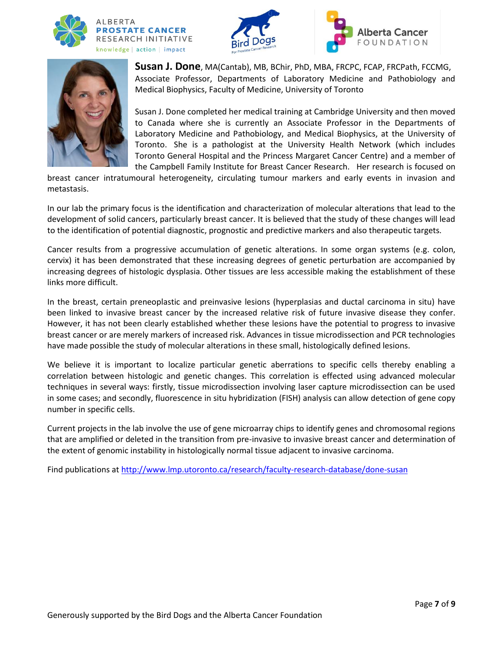







**Susan J. Done**, MA(Cantab), MB, BChir, PhD, MBA, FRCPC, FCAP, FRCPath, FCCMG, Associate Professor, Departments of Laboratory Medicine and Pathobiology and Medical Biophysics, Faculty of Medicine, University of Toronto

Susan J. Done completed her medical training at Cambridge University and then moved to Canada where she is currently an Associate Professor in the Departments of Laboratory Medicine and Pathobiology, and Medical Biophysics, at the University of Toronto. She is a pathologist at the University Health Network (which includes Toronto General Hospital and the Princess Margaret Cancer Centre) and a member of the Campbell Family Institute for Breast Cancer Research. Her research is focused on

breast cancer intratumoural heterogeneity, circulating tumour markers and early events in invasion and metastasis.

In our lab the primary focus is the identification and characterization of molecular alterations that lead to the development of solid cancers, particularly breast cancer. It is believed that the study of these changes will lead to the identification of potential diagnostic, prognostic and predictive markers and also therapeutic targets.

Cancer results from a progressive accumulation of genetic alterations. In some organ systems (e.g. colon, cervix) it has been demonstrated that these increasing degrees of genetic perturbation are accompanied by increasing degrees of histologic dysplasia. Other tissues are less accessible making the establishment of these links more difficult.

In the breast, certain preneoplastic and preinvasive lesions (hyperplasias and ductal carcinoma in situ) have been linked to invasive breast cancer by the increased relative risk of future invasive disease they confer. However, it has not been clearly established whether these lesions have the potential to progress to invasive breast cancer or are merely markers of increased risk. Advances in tissue microdissection and PCR technologies have made possible the study of molecular alterations in these small, histologically defined lesions.

We believe it is important to localize particular genetic aberrations to specific cells thereby enabling a correlation between histologic and genetic changes. This correlation is effected using advanced molecular techniques in several ways: firstly, tissue microdissection involving laser capture microdissection can be used in some cases; and secondly, fluorescence in situ hybridization (FISH) analysis can allow detection of gene copy number in specific cells.

Current projects in the lab involve the use of gene microarray chips to identify genes and chromosomal regions that are amplified or deleted in the transition from pre-invasive to invasive breast cancer and determination of the extent of genomic instability in histologically normal tissue adjacent to invasive carcinoma.

Find publications a[t http://www.lmp.utoronto.ca/research/faculty-research-database/done-susan](http://www.lmp.utoronto.ca/research/faculty-research-database/done-susan)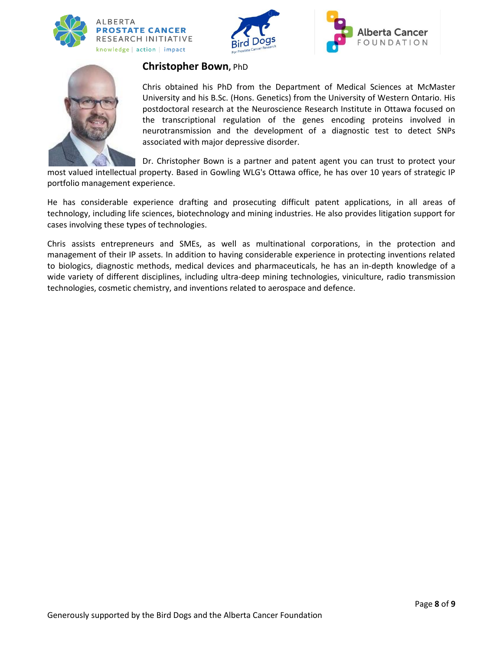







## **Christopher Bown,** PhD

Chris obtained his PhD from the Department of Medical Sciences at McMaster University and his B.Sc. (Hons. Genetics) from the University of Western Ontario. His postdoctoral research at the Neuroscience Research Institute in Ottawa focused on the transcriptional regulation of the genes encoding proteins involved in neurotransmission and the development of a diagnostic test to detect SNPs associated with major depressive disorder.

Dr. Christopher Bown is a partner and patent agent you can trust to protect your

most valued intellectual property. Based in Gowling WLG's Ottawa office, he has over 10 years of strategic IP portfolio management experience.

He has considerable experience drafting and prosecuting difficult patent applications, in all areas of technology, including life sciences, biotechnology and mining industries. He also provides litigation support for cases involving these types of technologies.

Chris assists entrepreneurs and SMEs, as well as multinational corporations, in the protection and management of their IP assets. In addition to having considerable experience in protecting inventions related to biologics, diagnostic methods, medical devices and pharmaceuticals, he has an in-depth knowledge of a wide variety of different disciplines, including ultra-deep mining technologies, viniculture, radio transmission technologies, cosmetic chemistry, and inventions related to aerospace and defence.